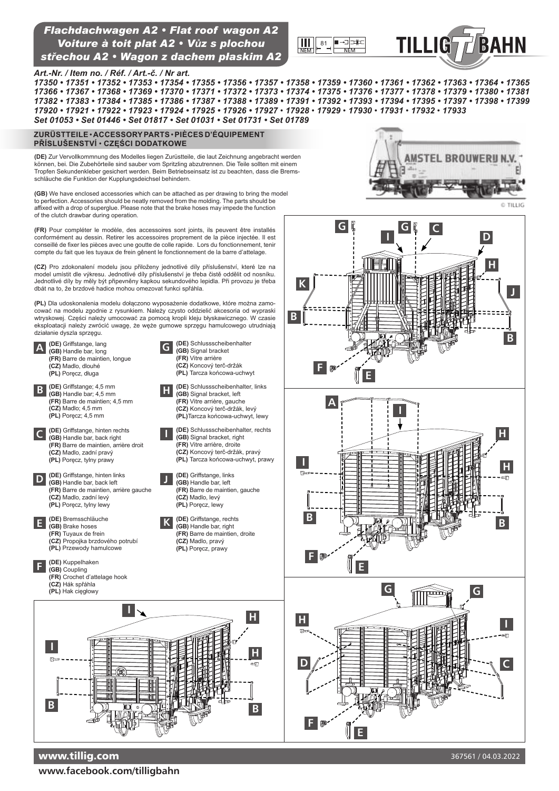## *Güterwagen* <sup>81</sup> *Voiture à toit plat A2 • Vůz s plochou Flachdachwagen A2 • Flat roof wagon A2 střechou A2 • Wagon z dachem płaskim A2*



**G G**

FA



### *Art.-Nr. / Item no. / Réf. / Art.-č. / Nr art.*

*17350 • 17351 • 17352 • 17353 • 17354 • 17355 • 17356 • 17357 • 17358 • 17359 • 17360 • 17361 • 17362 • 17363 • 17364 • 17365 17366 • 17367 • 17368 • 17369 • 17370 • 17371 • 17372 • 17373 • 17374 • 17375 • 17376 • 17377 • 17378 • 17379 • 17380 • 17381 17382 • 17383 • 17384 • 17385 • 17386 • 17387 • 17388 • 17389 • 17391 • 17392 • 17393 • 17394 • 17395 • 17397 • 17398 • 17399 17920 • 17921 • 17922 • 17923 • 17924 • 17925 • 17926 • 17927* • *17928* • *17929* • *17930* • *17931* • *17932* • *17933 Set 01053 • Set 01446 • Set 01817 • Set 01031 • Set 01731 • Set 01789*

**K**

**B**

#### **ZuRüsttEiLE** • **ACCEssoRy PARts** • **PiÈCEs D'ÉQuiPEMENt Příslušenství** • **CZĘŚCI DODAtKOWe**

**(DE)** Zur Vervollkommnung des Modelles liegen Zurüstteile, die laut Zeichnung angebracht werden<br>können, bei. Die Zubehörteile sind sauber vom Spritzling abzutrennen. Die Teile sollten mit einem Tropfen Sekundenkleber gesichert werden. Beim Betriebseinsatz ist zu beachten, dass die Bremsschläuche die Funktion der Kupplungsdeichsel behindern.

**(GB)** We have enclosed accessories which can be attached as per drawing to bring the model to perfection. Accessories should be neatly removed from the molding. The parts should be affixed with a drop of superglue. Please note that the brake hoses may impede the function of the clutch drawbar during operation.

**(FR)** Pour compléter le modèle, des accessoires sont joints, ils peuvent être installés conformément au dessin. Retirer les accessoires proprement de la pièce injectée. Il est conseillé de fixer les pièces avec une goutte de colle rapide. Lors du fonctionnement, tenir compte du fait que les tuyaux de frein gênent le fonctionnement de la barre d'attelage.

**(CZ)** Pro zdokonalení modelu jsou přiloženy jednotlivé díly příslušenství, které lze na model umístit dle výkresu. Jednotlivé díly příslušenství je třeba čistě oddělit od nosníku. Jednotlivé díly by měly být připevněny kapkou sekundového lepidla. Při provozu je třeba dbát na to, že brzdové hadice mohou omezovat funkci spřáhla.

**(PL)** Dla udoskonalenia modelu dołączono wyposażenie dodatkowe, które można zamocować na modelu zgodnie z rysunkiem. Należy czysto oddzielić akcesoria od wypraski wtryskowej. Części należy umocować za pomocą kropli kleju błyskawicznego. W czasie eksploatacji należy zwrócić uwagę, że węże gumowe sprzęgu hamulcowego utrudniają



**www.facebook.com/tilligbahn**



**I D C**

© TILLIG

**J**

**H**

**B**

**H**